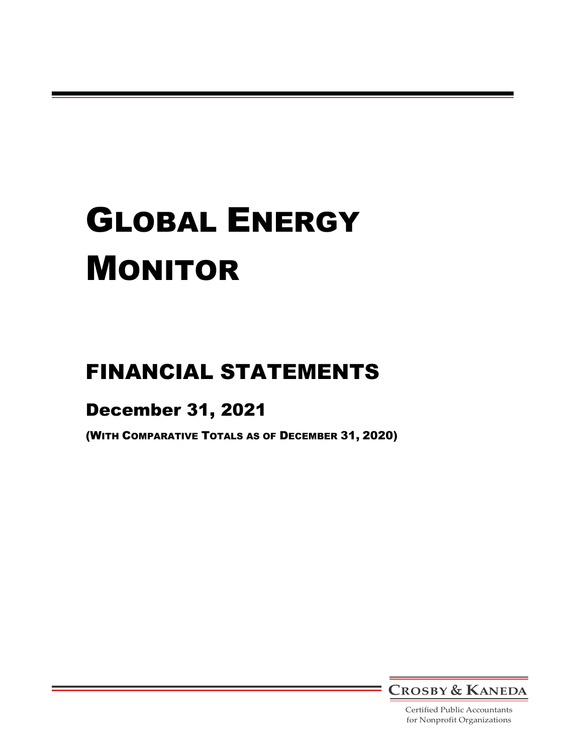# FINANCIAL STATEMENTS

# December 31, 2021

(WITH COMPARATIVE TOTALS AS OF DECEMBER 31, 2020)



Certified Public Accountants for Nonprofit Organizations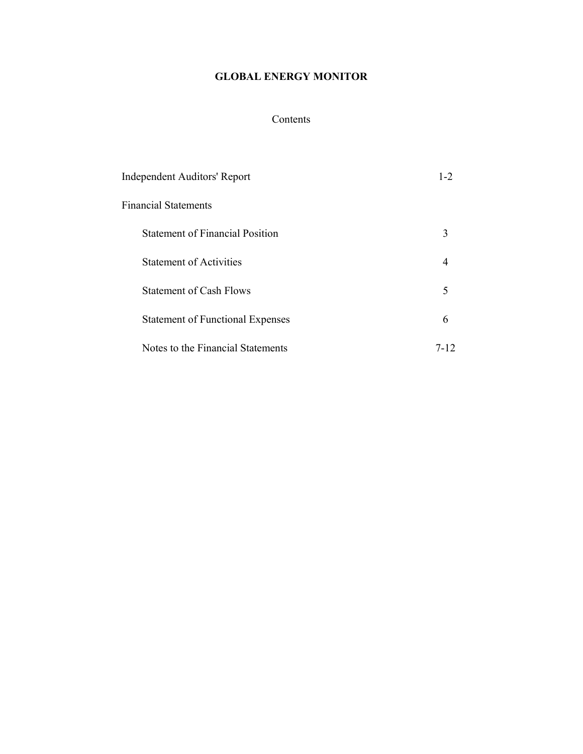# Contents

| Independent Auditors' Report            | $1 - 2$ |
|-----------------------------------------|---------|
| Financial Statements                    |         |
| <b>Statement of Financial Position</b>  |         |
| <b>Statement of Activities</b>          |         |
| <b>Statement of Cash Flows</b>          |         |
| <b>Statement of Functional Expenses</b> | 6       |
| Notes to the Financial Statements       | 7-12    |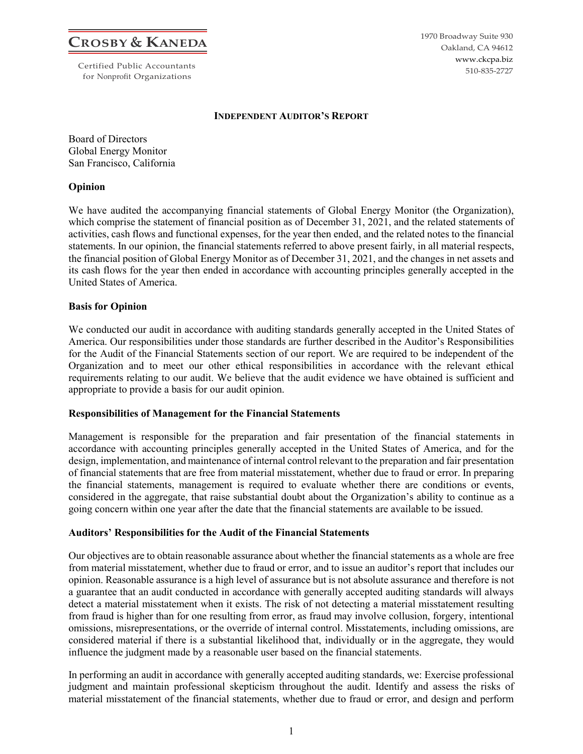**CROSBY & KANEDA**

Certified Public Accountants for Nonprofit Organizations

1970 Broadway Suite 930 Oakland, CA 94612 www.ckcpa.biz 510-835-2727

#### **INDEPENDENT AUDITOR'S REPORT**

Board of Directors Global Energy Monitor San Francisco, California

# **Opinion**

We have audited the accompanying financial statements of Global Energy Monitor (the Organization), which comprise the statement of financial position as of December 31, 2021, and the related statements of activities, cash flows and functional expenses, for the year then ended, and the related notes to the financial statements. In our opinion, the financial statements referred to above present fairly, in all material respects, the financial position of Global Energy Monitor as of December 31, 2021, and the changes in net assets and its cash flows for the year then ended in accordance with accounting principles generally accepted in the United States of America.

# **Basis for Opinion**

We conducted our audit in accordance with auditing standards generally accepted in the United States of America. Our responsibilities under those standards are further described in the Auditor's Responsibilities for the Audit of the Financial Statements section of our report. We are required to be independent of the Organization and to meet our other ethical responsibilities in accordance with the relevant ethical requirements relating to our audit. We believe that the audit evidence we have obtained is sufficient and appropriate to provide a basis for our audit opinion.

# **Responsibilities of Management for the Financial Statements**

Management is responsible for the preparation and fair presentation of the financial statements in accordance with accounting principles generally accepted in the United States of America, and for the design, implementation, and maintenance of internal control relevant to the preparation and fair presentation of financial statements that are free from material misstatement, whether due to fraud or error. In preparing the financial statements, management is required to evaluate whether there are conditions or events, considered in the aggregate, that raise substantial doubt about the Organization's ability to continue as a going concern within one year after the date that the financial statements are available to be issued.

# **Auditors' Responsibilities for the Audit of the Financial Statements**

Our objectives are to obtain reasonable assurance about whether the financial statements as a whole are free from material misstatement, whether due to fraud or error, and to issue an auditor's report that includes our opinion. Reasonable assurance is a high level of assurance but is not absolute assurance and therefore is not a guarantee that an audit conducted in accordance with generally accepted auditing standards will always detect a material misstatement when it exists. The risk of not detecting a material misstatement resulting from fraud is higher than for one resulting from error, as fraud may involve collusion, forgery, intentional omissions, misrepresentations, or the override of internal control. Misstatements, including omissions, are considered material if there is a substantial likelihood that, individually or in the aggregate, they would influence the judgment made by a reasonable user based on the financial statements.

In performing an audit in accordance with generally accepted auditing standards, we: Exercise professional judgment and maintain professional skepticism throughout the audit. Identify and assess the risks of material misstatement of the financial statements, whether due to fraud or error, and design and perform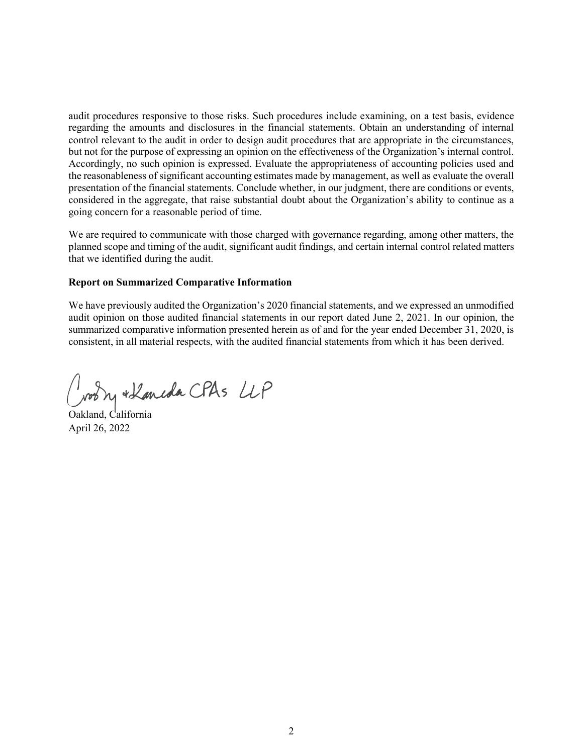audit procedures responsive to those risks. Such procedures include examining, on a test basis, evidence regarding the amounts and disclosures in the financial statements. Obtain an understanding of internal control relevant to the audit in order to design audit procedures that are appropriate in the circumstances, but not for the purpose of expressing an opinion on the effectiveness of the Organization's internal control. Accordingly, no such opinion is expressed. Evaluate the appropriateness of accounting policies used and the reasonableness of significant accounting estimates made by management, as well as evaluate the overall presentation of the financial statements. Conclude whether, in our judgment, there are conditions or events, considered in the aggregate, that raise substantial doubt about the Organization's ability to continue as a going concern for a reasonable period of time.

We are required to communicate with those charged with governance regarding, among other matters, the planned scope and timing of the audit, significant audit findings, and certain internal control related matters that we identified during the audit.

# **Report on Summarized Comparative Information**

We have previously audited the Organization's 2020 financial statements, and we expressed an unmodified audit opinion on those audited financial statements in our report dated June 2, 2021. In our opinion, the summarized comparative information presented herein as of and for the year ended December 31, 2020, is consistent, in all material respects, with the audited financial statements from which it has been derived.

Crosn & Lancola CPAS LLP

April 26, 2022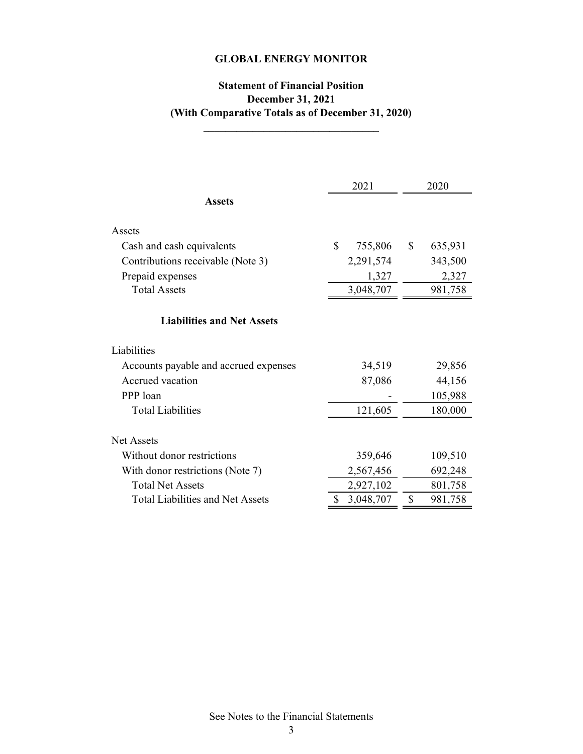# **Statement of Financial Position (With Comparative Totals as of December 31, 2020) December 31, 2021**

**\_\_\_\_\_\_\_\_\_\_\_\_\_\_\_\_\_\_\_\_\_\_\_\_\_\_\_\_\_\_\_\_**

|                                         | 2021          | 2020          |
|-----------------------------------------|---------------|---------------|
| <b>Assets</b>                           |               |               |
| Assets                                  |               |               |
| Cash and cash equivalents               | \$<br>755,806 | \$<br>635,931 |
| Contributions receivable (Note 3)       | 2,291,574     | 343,500       |
| Prepaid expenses                        | 1,327         | 2,327         |
| <b>Total Assets</b>                     | 3,048,707     | 981,758       |
| <b>Liabilities and Net Assets</b>       |               |               |
| Liabilities                             |               |               |
| Accounts payable and accrued expenses   | 34,519        | 29,856        |
| Accrued vacation                        | 87,086        | 44,156        |
| PPP loan                                |               | 105,988       |
| <b>Total Liabilities</b>                | 121,605       | 180,000       |
| <b>Net Assets</b>                       |               |               |
| Without donor restrictions              | 359,646       | 109,510       |
| With donor restrictions (Note 7)        | 2,567,456     | 692,248       |
| <b>Total Net Assets</b>                 | 2,927,102     | 801,758       |
| <b>Total Liabilities and Net Assets</b> | 3,048,707     | \$<br>981,758 |

See Notes to the Financial Statements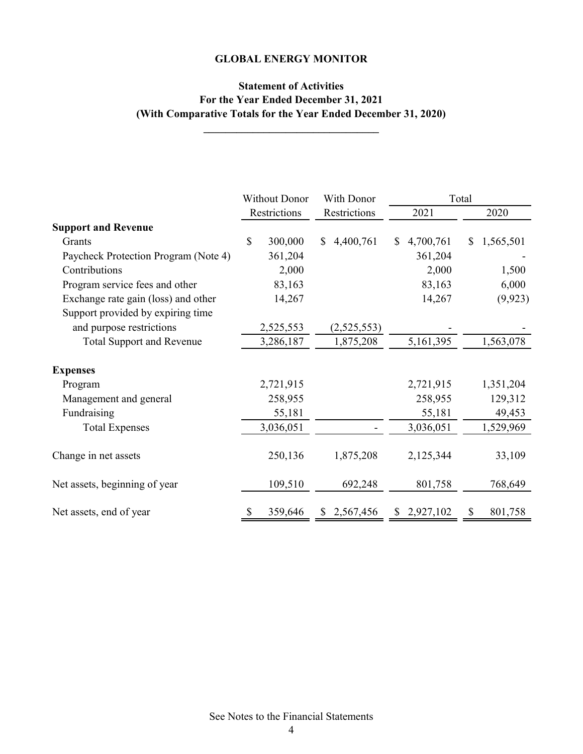# **(With Comparative Totals for the Year Ended December 31, 2020) For the Year Ended December 31, 2021 Statement of Activities**

**\_\_\_\_\_\_\_\_\_\_\_\_\_\_\_\_\_\_\_\_\_\_\_\_\_\_\_\_\_\_\_\_**

|                                      | <b>Without Donor</b><br>With Donor |                 | Total           |                 |
|--------------------------------------|------------------------------------|-----------------|-----------------|-----------------|
|                                      | Restrictions                       | Restrictions    | 2021            | 2020            |
| <b>Support and Revenue</b>           |                                    |                 |                 |                 |
| Grants                               | \$<br>300,000                      | 4,400,761<br>\$ | 4,700,761<br>S  | 1,565,501<br>\$ |
| Paycheck Protection Program (Note 4) | 361,204                            |                 | 361,204         |                 |
| Contributions                        | 2,000                              |                 | 2,000           | 1,500           |
| Program service fees and other       | 83,163                             |                 | 83,163          | 6,000           |
| Exchange rate gain (loss) and other  | 14,267                             |                 | 14,267          | (9, 923)        |
| Support provided by expiring time    |                                    |                 |                 |                 |
| and purpose restrictions             | 2,525,553                          | (2,525,553)     |                 |                 |
| <b>Total Support and Revenue</b>     | 3,286,187                          | 1,875,208       | 5,161,395       | 1,563,078       |
| <b>Expenses</b>                      |                                    |                 |                 |                 |
| Program                              | 2,721,915                          |                 | 2,721,915       | 1,351,204       |
| Management and general               | 258,955                            |                 | 258,955         | 129,312         |
| Fundraising                          | 55,181                             |                 | 55,181          | 49,453          |
| <b>Total Expenses</b>                | 3,036,051                          |                 | 3,036,051       | 1,529,969       |
| Change in net assets                 | 250,136                            | 1,875,208       | 2,125,344       | 33,109          |
| Net assets, beginning of year        | 109,510                            | 692,248         | 801,758         | 768,649         |
| Net assets, end of year              | 359,646<br>\$                      | 2,567,456<br>S. | 2,927,102<br>S. | 801,758<br>\$   |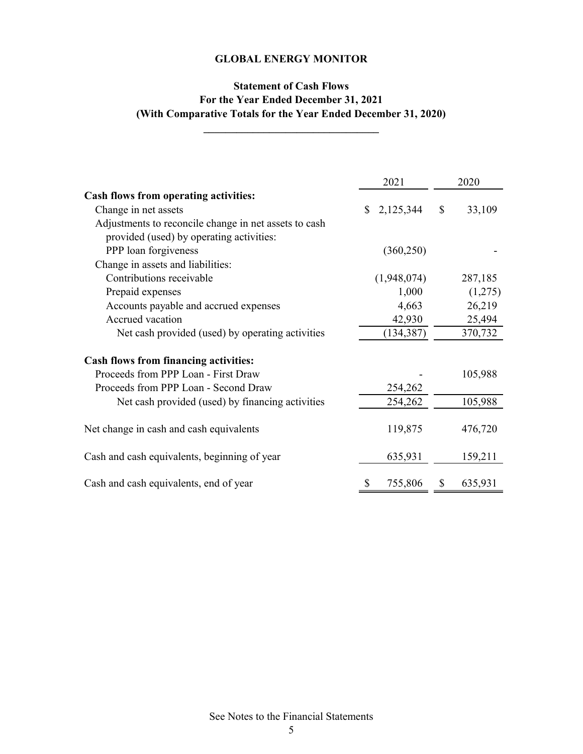# **Statement of Cash Flows For the Year Ended December 31, 2021 (With Comparative Totals for the Year Ended December 31, 2020)**

**\_\_\_\_\_\_\_\_\_\_\_\_\_\_\_\_\_\_\_\_\_\_\_\_\_\_\_\_\_\_\_\_**

|                                                                                                   | 2021                      |              | 2020    |
|---------------------------------------------------------------------------------------------------|---------------------------|--------------|---------|
| <b>Cash flows from operating activities:</b>                                                      |                           |              |         |
| Change in net assets                                                                              | 2,125,344<br>$\mathbb{S}$ | $\mathbb{S}$ | 33,109  |
| Adjustments to reconcile change in net assets to cash<br>provided (used) by operating activities: |                           |              |         |
| PPP loan forgiveness                                                                              | (360, 250)                |              |         |
| Change in assets and liabilities:                                                                 |                           |              |         |
| Contributions receivable                                                                          | (1,948,074)               |              | 287,185 |
| Prepaid expenses                                                                                  | 1,000                     |              | (1,275) |
| Accounts payable and accrued expenses                                                             | 4,663                     |              | 26,219  |
| Accrued vacation                                                                                  | 42,930                    |              | 25,494  |
| Net cash provided (used) by operating activities                                                  | (134, 387)                |              | 370,732 |
| <b>Cash flows from financing activities:</b>                                                      |                           |              |         |
| Proceeds from PPP Loan - First Draw                                                               |                           |              | 105,988 |
| Proceeds from PPP Loan - Second Draw                                                              | 254,262                   |              |         |
| Net cash provided (used) by financing activities                                                  | 254,262                   |              | 105,988 |
| Net change in cash and cash equivalents                                                           | 119,875                   |              | 476,720 |
| Cash and cash equivalents, beginning of year                                                      | 635,931                   |              | 159,211 |
| Cash and cash equivalents, end of year                                                            | 755,806<br>\$             | \$           | 635,931 |

See Notes to the Financial Statements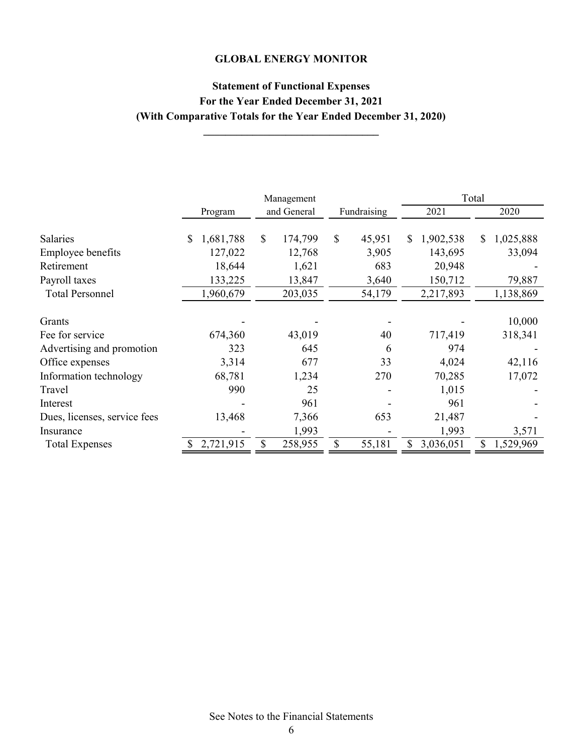# **Statement of Functional Expenses For the Year Ended December 31, 2021 (With Comparative Totals for the Year Ended December 31, 2020)**

**\_\_\_\_\_\_\_\_\_\_\_\_\_\_\_\_\_\_\_\_\_\_\_\_\_\_\_\_\_\_\_\_**

|                              |                 | Management              |                        |                           | Total           |
|------------------------------|-----------------|-------------------------|------------------------|---------------------------|-----------------|
|                              | Program         | and General             | Fundraising            | 2021                      | 2020            |
|                              |                 |                         |                        |                           |                 |
| <b>Salaries</b>              | 1,681,788<br>\$ | $\mathbb{S}$<br>174,799 | $\mathbb{S}$<br>45,951 | 1,902,538<br><sup>S</sup> | \$<br>1,025,888 |
| Employee benefits            | 127,022         | 12,768                  | 3,905                  | 143,695                   | 33,094          |
| Retirement                   | 18,644          | 1,621                   | 683                    | 20,948                    |                 |
| Payroll taxes                | 133,225         | 13,847                  | 3,640                  | 150,712                   | 79,887          |
| <b>Total Personnel</b>       | 1,960,679       | 203,035                 | 54,179                 | 2,217,893                 | 1,138,869       |
| Grants                       |                 |                         |                        |                           | 10,000          |
| Fee for service              | 674,360         | 43,019                  | 40                     | 717,419                   | 318,341         |
| Advertising and promotion    | 323             | 645                     | 6                      | 974                       |                 |
| Office expenses              | 3,314           | 677                     | 33                     | 4,024                     | 42,116          |
| Information technology       | 68,781          | 1,234                   | 270                    | 70,285                    | 17,072          |
| Travel                       | 990             | 25                      |                        | 1,015                     |                 |
| Interest                     |                 | 961                     |                        | 961                       |                 |
| Dues, licenses, service fees | 13,468          | 7,366                   | 653                    | 21,487                    |                 |
| Insurance                    |                 | 1,993                   |                        | 1,993                     | 3,571           |
| <b>Total Expenses</b>        | 2,721,915       | 258,955                 | \$<br>55,181           | 3,036,051<br>\$           | 1,529,969       |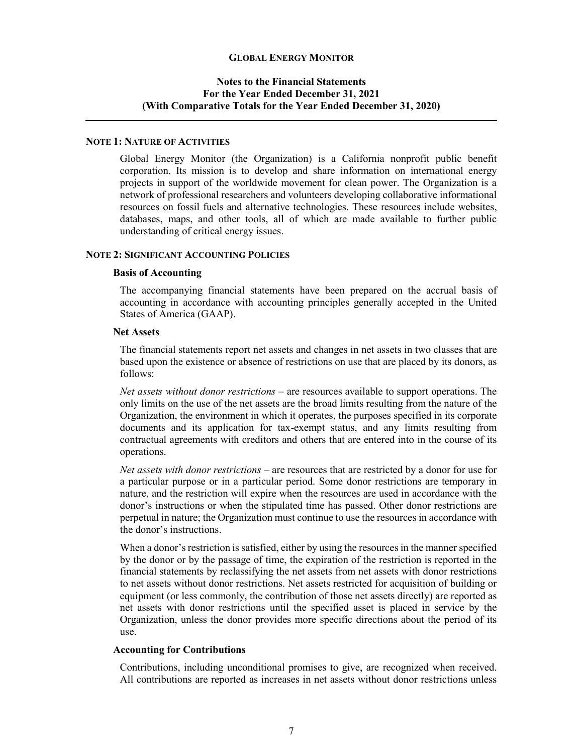# **Notes to the Financial Statements For the Year Ended December 31, 2021 (With Comparative Totals for the Year Ended December 31, 2020)**

# **NOTE 1: NATURE OF ACTIVITIES**

Global Energy Monitor (the Organization) is a California nonprofit public benefit corporation. Its mission is to develop and share information on international energy projects in support of the worldwide movement for clean power. The Organization is a network of professional researchers and volunteers developing collaborative informational resources on fossil fuels and alternative technologies. These resources include websites, databases, maps, and other tools, all of which are made available to further public understanding of critical energy issues.

#### **NOTE 2: SIGNIFICANT ACCOUNTING POLICIES**

### **Basis of Accounting**

The accompanying financial statements have been prepared on the accrual basis of accounting in accordance with accounting principles generally accepted in the United States of America (GAAP).

# **Net Assets**

The financial statements report net assets and changes in net assets in two classes that are based upon the existence or absence of restrictions on use that are placed by its donors, as follows:

*Net assets without donor restrictions* – are resources available to support operations. The only limits on the use of the net assets are the broad limits resulting from the nature of the Organization, the environment in which it operates, the purposes specified in its corporate documents and its application for tax-exempt status, and any limits resulting from contractual agreements with creditors and others that are entered into in the course of its operations.

*Net assets with donor restrictions* – are resources that are restricted by a donor for use for a particular purpose or in a particular period. Some donor restrictions are temporary in nature, and the restriction will expire when the resources are used in accordance with the donor's instructions or when the stipulated time has passed. Other donor restrictions are perpetual in nature; the Organization must continue to use the resources in accordance with the donor's instructions.

When a donor's restriction is satisfied, either by using the resources in the manner specified by the donor or by the passage of time, the expiration of the restriction is reported in the financial statements by reclassifying the net assets from net assets with donor restrictions to net assets without donor restrictions. Net assets restricted for acquisition of building or equipment (or less commonly, the contribution of those net assets directly) are reported as net assets with donor restrictions until the specified asset is placed in service by the Organization, unless the donor provides more specific directions about the period of its use.

# **Accounting for Contributions**

Contributions, including unconditional promises to give, are recognized when received. All contributions are reported as increases in net assets without donor restrictions unless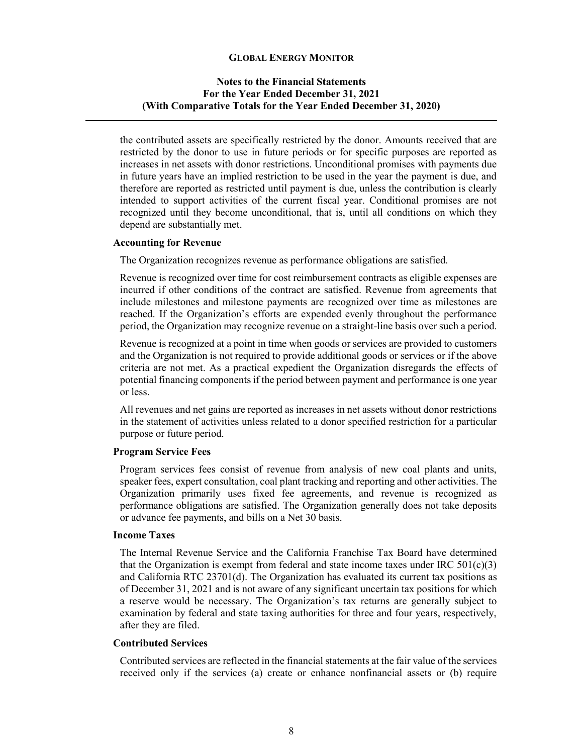# **Notes to the Financial Statements For the Year Ended December 31, 2021 (With Comparative Totals for the Year Ended December 31, 2020)**

the contributed assets are specifically restricted by the donor. Amounts received that are restricted by the donor to use in future periods or for specific purposes are reported as increases in net assets with donor restrictions. Unconditional promises with payments due in future years have an implied restriction to be used in the year the payment is due, and therefore are reported as restricted until payment is due, unless the contribution is clearly intended to support activities of the current fiscal year. Conditional promises are not recognized until they become unconditional, that is, until all conditions on which they depend are substantially met.

#### **Accounting for Revenue**

The Organization recognizes revenue as performance obligations are satisfied.

Revenue is recognized over time for cost reimbursement contracts as eligible expenses are incurred if other conditions of the contract are satisfied. Revenue from agreements that include milestones and milestone payments are recognized over time as milestones are reached. If the Organization's efforts are expended evenly throughout the performance period, the Organization may recognize revenue on a straight-line basis over such a period.

Revenue is recognized at a point in time when goods or services are provided to customers and the Organization is not required to provide additional goods or services or if the above criteria are not met. As a practical expedient the Organization disregards the effects of potential financing components if the period between payment and performance is one year or less.

All revenues and net gains are reported as increases in net assets without donor restrictions in the statement of activities unless related to a donor specified restriction for a particular purpose or future period.

#### **Program Service Fees**

Program services fees consist of revenue from analysis of new coal plants and units, speaker fees, expert consultation, coal plant tracking and reporting and other activities. The Organization primarily uses fixed fee agreements, and revenue is recognized as performance obligations are satisfied. The Organization generally does not take deposits or advance fee payments, and bills on a Net 30 basis.

#### **Income Taxes**

The Internal Revenue Service and the California Franchise Tax Board have determined that the Organization is exempt from federal and state income taxes under IRC  $501(c)(3)$ and California RTC 23701(d). The Organization has evaluated its current tax positions as of December 31, 2021 and is not aware of any significant uncertain tax positions for which a reserve would be necessary. The Organization's tax returns are generally subject to examination by federal and state taxing authorities for three and four years, respectively, after they are filed.

#### **Contributed Services**

Contributed services are reflected in the financial statements at the fair value of the services received only if the services (a) create or enhance nonfinancial assets or (b) require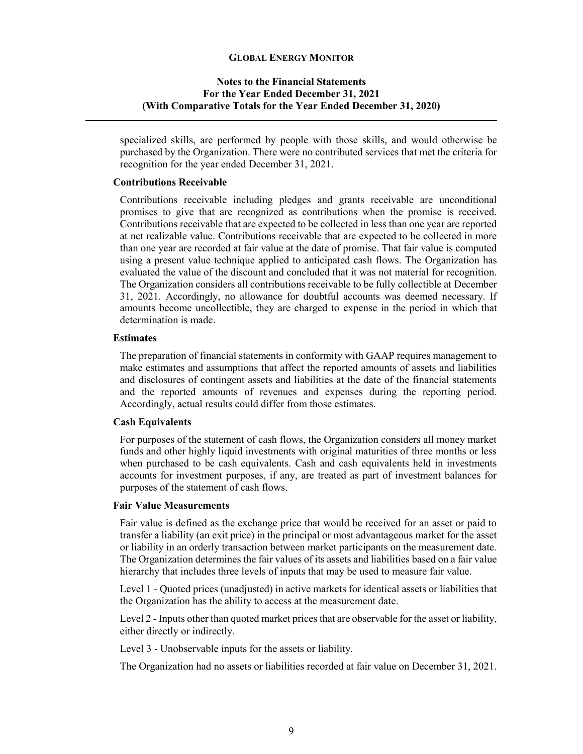# **Notes to the Financial Statements For the Year Ended December 31, 2021 (With Comparative Totals for the Year Ended December 31, 2020)**

specialized skills, are performed by people with those skills, and would otherwise be purchased by the Organization. There were no contributed services that met the criteria for recognition for the year ended December 31, 2021.

#### **Contributions Receivable**

Contributions receivable including pledges and grants receivable are unconditional promises to give that are recognized as contributions when the promise is received. Contributions receivable that are expected to be collected in less than one year are reported at net realizable value. Contributions receivable that are expected to be collected in more than one year are recorded at fair value at the date of promise. That fair value is computed using a present value technique applied to anticipated cash flows. The Organization has evaluated the value of the discount and concluded that it was not material for recognition. The Organization considers all contributions receivable to be fully collectible at December 31, 2021. Accordingly, no allowance for doubtful accounts was deemed necessary. If amounts become uncollectible, they are charged to expense in the period in which that determination is made.

### **Estimates**

The preparation of financial statements in conformity with GAAP requires management to make estimates and assumptions that affect the reported amounts of assets and liabilities and disclosures of contingent assets and liabilities at the date of the financial statements and the reported amounts of revenues and expenses during the reporting period. Accordingly, actual results could differ from those estimates.

#### **Cash Equivalents**

For purposes of the statement of cash flows, the Organization considers all money market funds and other highly liquid investments with original maturities of three months or less when purchased to be cash equivalents. Cash and cash equivalents held in investments accounts for investment purposes, if any, are treated as part of investment balances for purposes of the statement of cash flows.

# **Fair Value Measurements**

Fair value is defined as the exchange price that would be received for an asset or paid to transfer a liability (an exit price) in the principal or most advantageous market for the asset or liability in an orderly transaction between market participants on the measurement date. The Organization determines the fair values of its assets and liabilities based on a fair value hierarchy that includes three levels of inputs that may be used to measure fair value.

Level 1 - Quoted prices (unadjusted) in active markets for identical assets or liabilities that the Organization has the ability to access at the measurement date.

Level 2 - Inputs other than quoted market prices that are observable for the asset or liability, either directly or indirectly.

Level 3 - Unobservable inputs for the assets or liability.

The Organization had no assets or liabilities recorded at fair value on December 31, 2021.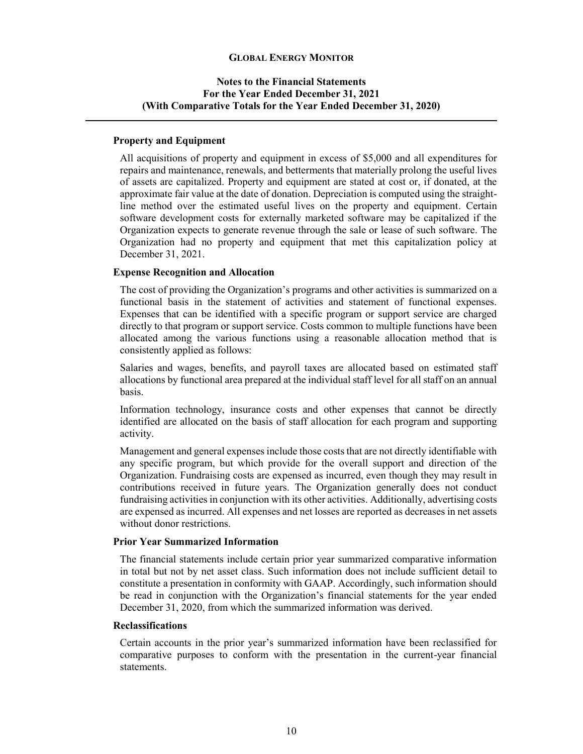# **Notes to the Financial Statements For the Year Ended December 31, 2021 (With Comparative Totals for the Year Ended December 31, 2020)**

# **Property and Equipment**

All acquisitions of property and equipment in excess of \$5,000 and all expenditures for repairs and maintenance, renewals, and betterments that materially prolong the useful lives of assets are capitalized. Property and equipment are stated at cost or, if donated, at the approximate fair value at the date of donation. Depreciation is computed using the straightline method over the estimated useful lives on the property and equipment. Certain software development costs for externally marketed software may be capitalized if the Organization expects to generate revenue through the sale or lease of such software. The Organization had no property and equipment that met this capitalization policy at December 31, 2021.

# **Expense Recognition and Allocation**

The cost of providing the Organization's programs and other activities is summarized on a functional basis in the statement of activities and statement of functional expenses. Expenses that can be identified with a specific program or support service are charged directly to that program or support service. Costs common to multiple functions have been allocated among the various functions using a reasonable allocation method that is consistently applied as follows:

Salaries and wages, benefits, and payroll taxes are allocated based on estimated staff allocations by functional area prepared at the individual staff level for all staff on an annual basis.

Information technology, insurance costs and other expenses that cannot be directly identified are allocated on the basis of staff allocation for each program and supporting activity.

Management and general expenses include those costs that are not directly identifiable with any specific program, but which provide for the overall support and direction of the Organization. Fundraising costs are expensed as incurred, even though they may result in contributions received in future years. The Organization generally does not conduct fundraising activities in conjunction with its other activities. Additionally, advertising costs are expensed as incurred. All expenses and net losses are reported as decreases in net assets without donor restrictions.

#### **Prior Year Summarized Information**

The financial statements include certain prior year summarized comparative information in total but not by net asset class. Such information does not include sufficient detail to constitute a presentation in conformity with GAAP. Accordingly, such information should be read in conjunction with the Organization's financial statements for the year ended December 31, 2020, from which the summarized information was derived.

# **Reclassifications**

Certain accounts in the prior year's summarized information have been reclassified for comparative purposes to conform with the presentation in the current-year financial statements.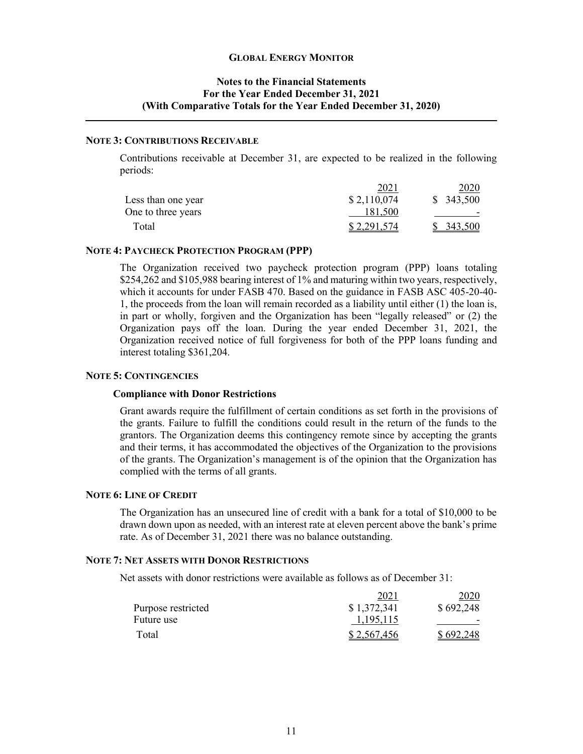# **Notes to the Financial Statements For the Year Ended December 31, 2021 (With Comparative Totals for the Year Ended December 31, 2020)**

#### **NOTE 3: CONTRIBUTIONS RECEIVABLE**

Contributions receivable at December 31, are expected to be realized in the following periods:

|                    | 2021        | 2020      |
|--------------------|-------------|-----------|
| Less than one year | \$2,110,074 | \$343,500 |
| One to three years | 181.500     |           |
| Total              | \$2,291,574 | 343,500   |

# **NOTE 4: PAYCHECK PROTECTION PROGRAM (PPP)**

The Organization received two paycheck protection program (PPP) loans totaling \$254,262 and \$105,988 bearing interest of 1% and maturing within two years, respectively, which it accounts for under FASB 470. Based on the guidance in FASB ASC 405-20-40-1, the proceeds from the loan will remain recorded as a liability until either (1) the loan is, in part or wholly, forgiven and the Organization has been "legally released" or (2) the Organization pays off the loan. During the year ended December 31, 2021, the Organization received notice of full forgiveness for both of the PPP loans funding and interest totaling \$361,204.

# **NOTE 5: CONTINGENCIES**

#### **Compliance with Donor Restrictions**

Grant awards require the fulfillment of certain conditions as set forth in the provisions of the grants. Failure to fulfill the conditions could result in the return of the funds to the grantors. The Organization deems this contingency remote since by accepting the grants and their terms, it has accommodated the objectives of the Organization to the provisions of the grants. The Organization's management is of the opinion that the Organization has complied with the terms of all grants.

#### **NOTE 6: LINE OF CREDIT**

The Organization has an unsecured line of credit with a bank for a total of \$10,000 to be drawn down upon as needed, with an interest rate at eleven percent above the bank's prime rate. As of December 31, 2021 there was no balance outstanding.

# **NOTE 7: NET ASSETS WITH DONOR RESTRICTIONS**

Net assets with donor restrictions were available as follows as of December 31:

|                    | 2021        | 2020      |
|--------------------|-------------|-----------|
| Purpose restricted | \$1,372,341 | \$692,248 |
| Future use         | 1.195.115   |           |
| Total              | \$2,567,456 | \$692,248 |